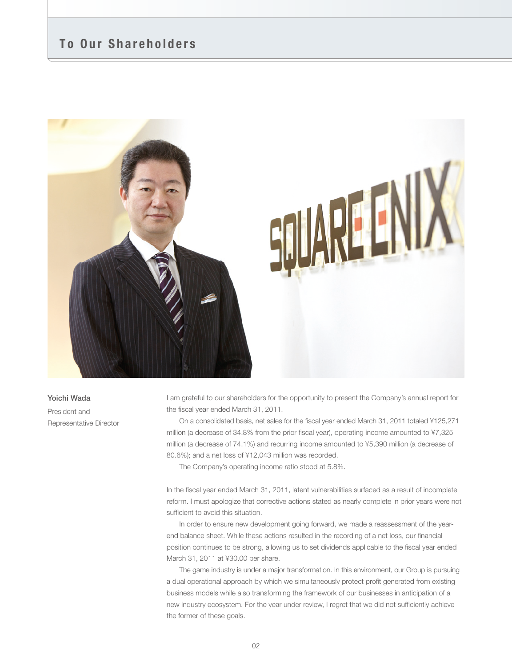# **To Our Shareholders**



# **Yoichi Wada**

President and Representative Director I am grateful to our shareholders for the opportunity to present the Company's annual report for the fiscal year ended March 31, 2011.

 On a consolidated basis, net sales for the fiscal year ended March 31, 2011 totaled ¥125,271 million (a decrease of 34.8% from the prior fiscal year), operating income amounted to ¥7,325 million (a decrease of 74.1%) and recurring income amounted to ¥5,390 million (a decrease of 80.6%); and a net loss of ¥12,043 million was recorded.

The Company's operating income ratio stood at 5.8%.

In the fiscal year ended March 31, 2011, latent vulnerabilities surfaced as a result of incomplete reform. I must apologize that corrective actions stated as nearly complete in prior years were not sufficient to avoid this situation.

 In order to ensure new development going forward, we made a reassessment of the yearend balance sheet. While these actions resulted in the recording of a net loss, our financial position continues to be strong, allowing us to set dividends applicable to the fiscal year ended March 31, 2011 at ¥30.00 per share.

 The game industry is under a major transformation. In this environment, our Group is pursuing a dual operational approach by which we simultaneously protect profit generated from existing business models while also transforming the framework of our businesses in anticipation of a new industry ecosystem. For the year under review, I regret that we did not sufficiently achieve the former of these goals.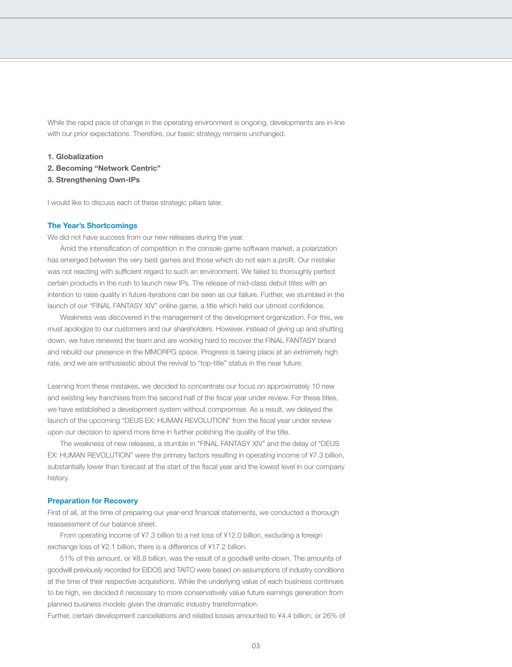While the rapid pace of change in the operating environment is ongoing, developments are in-line with our prior expectations. Therefore, our basic strategy remains unchanged.

**1. Globalization**

- **2. Becoming "Network Centric"**
- **3. Strengthening Own-IPs**

I would like to discuss each of these strategic pillars later.

# **The Year's Shortcomings**

We did not have success from our new releases during the year.

 Amid the intensification of competition in the console game software market, a polarization has emerged between the very best games and those which do not earn a profit. Our mistake was not reacting with sufficient regard to such an environment. We failed to thoroughly perfect certain products in the rush to launch new IPs. The release of mid-class debut titles with an intention to raise quality in future iterations can be seen as our failure. Further, we stumbled in the launch of our "FINAL FANTASY XIV" online game, a title which held our utmost confidence.

 Weakness was discovered in the management of the development organization. For this, we must apologize to our customers and our shareholders. However, instead of giving up and shutting down, we have renewed the team and are working hard to recover the FINAL FANTASY brand and rebuild our presence in the MMORPG space. Progress is taking place at an extremely high rate, and we are enthusiastic about the revival to "top-title" status in the near future.

Learning from these mistakes, we decided to concentrate our focus on approximately 10 new and existing key franchises from the second half of the fiscal year under review. For these titles, we have established a development system without compromise. As a result, we delayed the launch of the upcoming "DEUS EX: HUMAN REVOLUTION" from the fiscal year under review upon our decision to spend more time in further polishing the quality of the title.

 The weakness of new releases, a stumble in "FINAL FANTASY XIV" and the delay of "DEUS EX: HUMAN REVOLUTION" were the primary factors resulting in operating income of ¥7.3 billion, substantially lower than forecast at the start of the fiscal year and the lowest level in our company history.

# **Preparation for Recovery**

First of all, at the time of preparing our year-end financial statements, we conducted a thorough reassessment of our balance sheet.

 From operating income of ¥7.3 billion to a net loss of ¥12.0 billion, excluding a foreign exchange loss of ¥2.1 billion, there is a difference of ¥17.2 billion.

 51% of this amount, or ¥8.8 billion, was the result of a goodwill write-down. The amounts of goodwill previously recorded for EIDOS and TAITO were based on assumptions of industry conditions at the time of their respective acquisitions. While the underlying value of each business continues to be high, we decided it necessary to more conservatively value future earnings generation from planned business models given the dramatic industry transformation.

Further, certain development cancellations and related losses amounted to ¥4.4 billion, or 26% of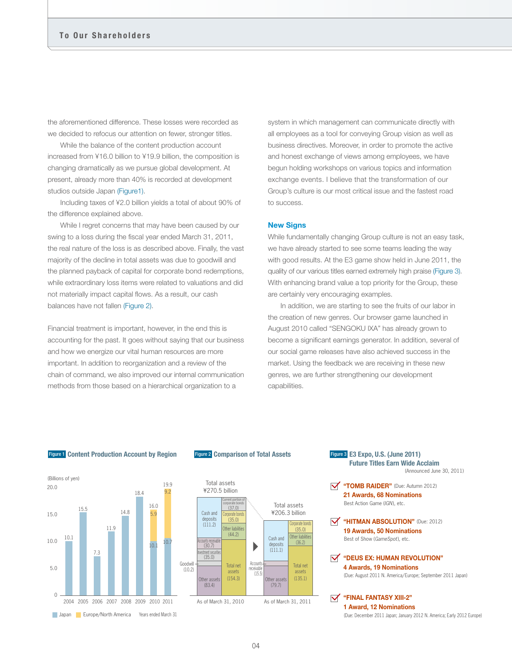the aforementioned difference. These losses were recorded as we decided to refocus our attention on fewer, stronger titles.

 While the balance of the content production account increased from ¥16.0 billion to ¥19.9 billion, the composition is changing dramatically as we pursue global development. At present, already more than 40% is recorded at development studios outside Japan (Figure1).

 Including taxes of ¥2.0 billion yields a total of about 90% of the difference explained above.

 While I regret concerns that may have been caused by our swing to a loss during the fiscal year ended March 31, 2011, the real nature of the loss is as described above. Finally, the vast majority of the decline in total assets was due to goodwill and the planned payback of capital for corporate bond redemptions, while extraordinary loss items were related to valuations and did not materially impact capital flows. As a result, our cash balances have not fallen (Figure 2).

Financial treatment is important, however, in the end this is accounting for the past. It goes without saying that our business and how we energize our vital human resources are more important. In addition to reorganization and a review of the chain of command, we also improved our internal communication methods from those based on a hierarchical organization to a

system in which management can communicate directly with all employees as a tool for conveying Group vision as well as business directives. Moreover, in order to promote the active and honest exchange of views among employees, we have begun holding workshops on various topics and information exchange events. I believe that the transformation of our Group's culture is our most critical issue and the fastest road to success.

# **New Signs**

While fundamentally changing Group culture is not an easy task, we have already started to see some teams leading the way with good results. At the E3 game show held in June 2011, the quality of our various titles earned extremely high praise (Figure 3). With enhancing brand value a top priority for the Group, these are certainly very encouraging examples.

 In addition, we are starting to see the fruits of our labor in the creation of new genres. Our browser game launched in August 2010 called "SENGOKU IXA" has already grown to become a significant earnings generator. In addition, several of our social game releases have also achieved success in the market. Using the feedback we are receiving in these new genres, we are further strengthening our development capabilities.

#### **Content Production Account by Region** Figure 1 Figure 2 **Comparison of Total Assets E3 Expo, U.S. (June 2011)**





#### **Future Titles Earn Wide Acclaim Figure 3 E3 Expo, U.S. (June 2011)** (Announced June 30, 2011)

**"TOMB RAIDER"** (Due: Autumn 2012) **21 Awards, 68 Nominations**  Best Action Game (IGN), etc.

**"HITMAN ABSOLUTION"** (Due: 2012) **19 Awards, 50 Nominations** Best of Show (GameSpot), etc.

(Due: August 2011 N. America/Europe; September 2011 Japan) **"DEUS EX: HUMAN REVOLUTION" 4 Awards, 19 Nominations**

(Due: December 2011 Japan; January 2012 N. America; Early 2012 Europe) **"FINAL FANTASY XIIIɅ2" 1 Award, 12 Nominations**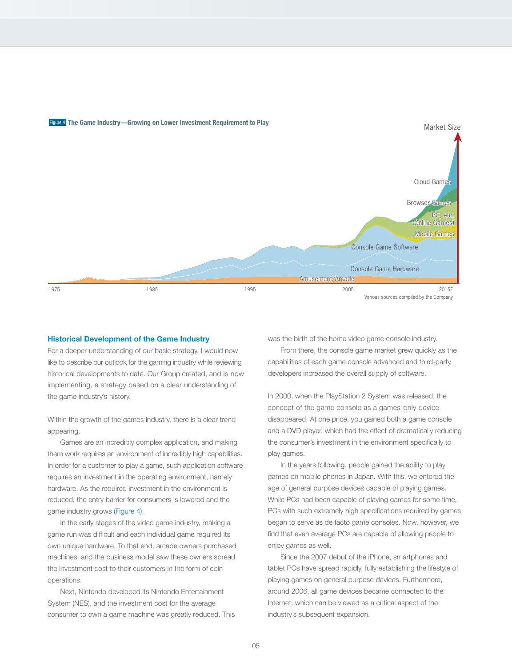

# Figure 4 **The Game Industry—Growing on Lower Investment Requirement to Play**

#### **Historical Development of the Game Industry**

For a deeper understanding of our basic strategy, I would now like to describe our outlook for the gaming industry while reviewing historical developments to date. Our Group created, and is now implementing, a strategy based on a clear understanding of the game industry's history.

Within the growth of the games industry, there is a clear trend appearing.

 Games are an incredibly complex application, and making them work requires an environment of incredibly high capabilities. In order for a customer to play a game, such application software requires an investment in the operating environment, namely hardware. As the required investment in the environment is reduced, the entry barrier for consumers is lowered and the game industry grows (Figure 4).

 In the early stages of the video game industry, making a game run was difficult and each individual game required its own unique hardware. To that end, arcade owners purchased machines, and the business model saw these owners spread the investment cost to their customers in the form of coin operations.

 Next, Nintendo developed its Nintendo Entertainment System (NES), and the investment cost for the average consumer to own a game machine was greatly reduced. This was the birth of the home video game console industry.

 From there, the console game market grew quickly as the capabilities of each game console advanced and third-party developers increased the overall supply of software.

In 2000, when the PlayStation 2 System was released, the concept of the game console as a games-only device disappeared. At one price, you gained both a game console and a DVD player, which had the effect of dramatically reducing the consumer's investment in the environment specifically to play games.

 In the years following, people gained the ability to play games on mobile phones in Japan. With this, we entered the age of general purpose devices capable of playing games. While PCs had been capable of playing games for some time, PCs with such extremely high specifications required by games began to serve as de facto game consoles. Now, however, we find that even average PCs are capable of allowing people to enjoy games as well.

 Since the 2007 debut of the iPhone, smartphones and tablet PCs have spread rapidly, fully establishing the lifestyle of playing games on general purpose devices. Furthermore, around 2006, all game devices became connected to the Internet, which can be viewed as a critical aspect of the industry's subsequent expansion.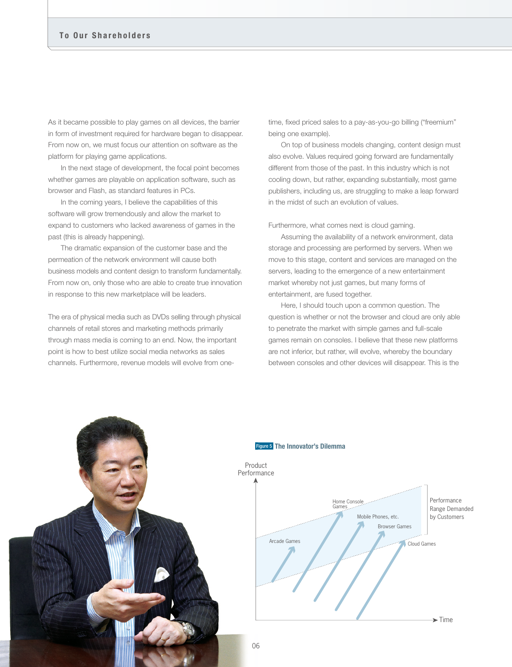As it became possible to play games on all devices, the barrier in form of investment required for hardware began to disappear. From now on, we must focus our attention on software as the platform for playing game applications.

 In the next stage of development, the focal point becomes whether games are playable on application software, such as browser and Flash, as standard features in PCs.

In the coming years, I believe the capabilities of this software will grow tremendously and allow the market to expand to customers who lacked awareness of games in the past (this is already happening).

 The dramatic expansion of the customer base and the permeation of the network environment will cause both business models and content design to transform fundamentally. From now on, only those who are able to create true innovation in response to this new marketplace will be leaders.

The era of physical media such as DVDs selling through physical channels of retail stores and marketing methods primarily through mass media is coming to an end. Now, the important point is how to best utilize social media networks as sales channels. Furthermore, revenue models will evolve from onetime, fixed priced sales to a pay-as-you-go billing ("freemium" being one example).

 On top of business models changing, content design must also evolve. Values required going forward are fundamentally different from those of the past. In this industry which is not cooling down, but rather, expanding substantially, most game publishers, including us, are struggling to make a leap forward in the midst of such an evolution of values.

Furthermore, what comes next is cloud gaming.

 Assuming the availability of a network environment, data storage and processing are performed by servers. When we move to this stage, content and services are managed on the servers, leading to the emergence of a new entertainment market whereby not just games, but many forms of entertainment, are fused together.

 Here, I should touch upon a common question. The question is whether or not the browser and cloud are only able to penetrate the market with simple games and full-scale games remain on consoles. I believe that these new platforms are not inferior, but rather, will evolve, whereby the boundary between consoles and other devices will disappear. This is the